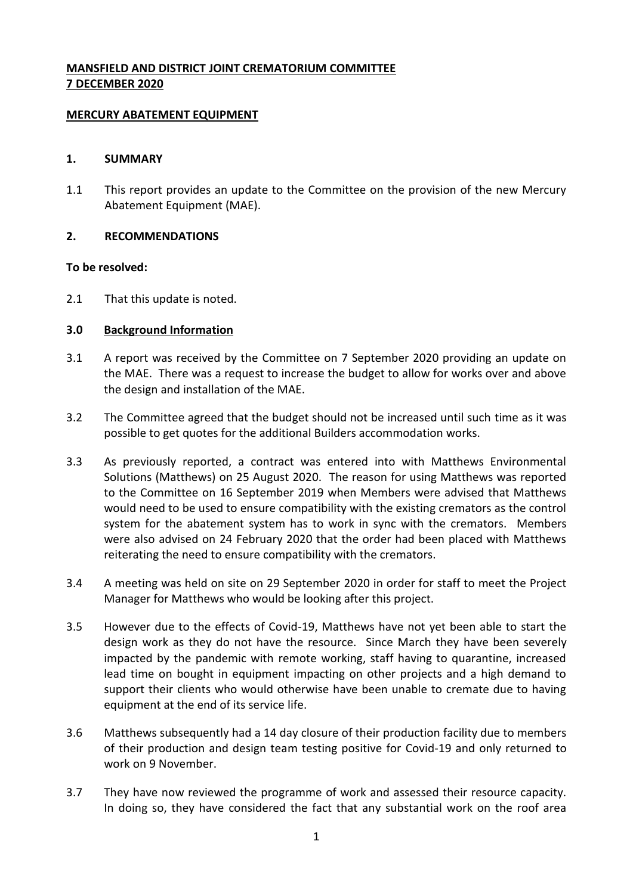# **MANSFIELD AND DISTRICT JOINT CREMATORIUM COMMITTEE 7 DECEMBER 2020**

#### **MERCURY ABATEMENT EQUIPMENT**

#### **1. SUMMARY**

1.1 This report provides an update to the Committee on the provision of the new Mercury Abatement Equipment (MAE).

## **2. RECOMMENDATIONS**

#### **To be resolved:**

2.1 That this update is noted.

## **3.0 Background Information**

- 3.1 A report was received by the Committee on 7 September 2020 providing an update on the MAE. There was a request to increase the budget to allow for works over and above the design and installation of the MAE.
- 3.2 The Committee agreed that the budget should not be increased until such time as it was possible to get quotes for the additional Builders accommodation works.
- 3.3 As previously reported, a contract was entered into with Matthews Environmental Solutions (Matthews) on 25 August 2020. The reason for using Matthews was reported to the Committee on 16 September 2019 when Members were advised that Matthews would need to be used to ensure compatibility with the existing cremators as the control system for the abatement system has to work in sync with the cremators. Members were also advised on 24 February 2020 that the order had been placed with Matthews reiterating the need to ensure compatibility with the cremators.
- 3.4 A meeting was held on site on 29 September 2020 in order for staff to meet the Project Manager for Matthews who would be looking after this project.
- 3.5 However due to the effects of Covid-19, Matthews have not yet been able to start the design work as they do not have the resource. Since March they have been severely impacted by the pandemic with remote working, staff having to quarantine, increased lead time on bought in equipment impacting on other projects and a high demand to support their clients who would otherwise have been unable to cremate due to having equipment at the end of its service life.
- 3.6 Matthews subsequently had a 14 day closure of their production facility due to members of their production and design team testing positive for Covid-19 and only returned to work on 9 November.
- 3.7 They have now reviewed the programme of work and assessed their resource capacity. In doing so, they have considered the fact that any substantial work on the roof area